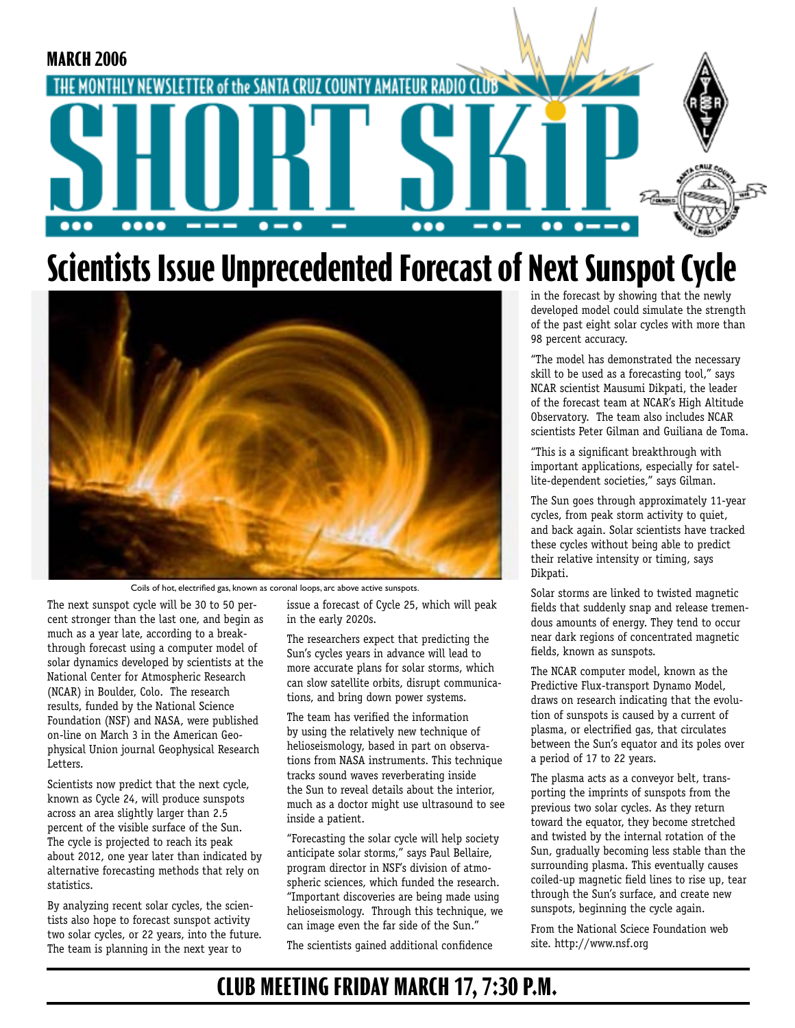

# **Scientists Issue Unprecedented Forecast of Next Sunspot Cycle**



Coils of hot, electrified gas, known as coronal loops, arc above active sunspots.

The next sunspot cycle will be 30 to 50 percent stronger than the last one, and begin as much as a year late, according to a breakthrough forecast using a computer model of solar dynamics developed by scientists at the National Center for Atmospheric Research (NCAR) in Boulder, Colo. The research results, funded by the National Science Foundation (NSF) and NASA, were published on-line on March 3 in the American Geophysical Union journal Geophysical Research Letters.

Scientists now predict that the next cycle, known as Cycle 24, will produce sunspots across an area slightly larger than 2.5 percent of the visible surface of the Sun. The cycle is projected to reach its peak about 2012, one year later than indicated by alternative forecasting methods that rely on statistics.

By analyzing recent solar cycles, the scientists also hope to forecast sunspot activity two solar cycles, or 22 years, into the future. The team is planning in the next year to

issue a forecast of Cycle 25, which will peak in the early 2020s.

The researchers expect that predicting the Sun's cycles years in advance will lead to more accurate plans for solar storms, which can slow satellite orbits, disrupt communications, and bring down power systems.

The team has verified the information by using the relatively new technique of helioseismology, based in part on observations from NASA instruments. This technique tracks sound waves reverberating inside the Sun to reveal details about the interior, much as a doctor might use ultrasound to see inside a patient.

"Forecasting the solar cycle will help society anticipate solar storms," says Paul Bellaire, program director in NSF's division of atmospheric sciences, which funded the research. "Important discoveries are being made using helioseismology. Through this technique, we can image even the far side of the Sun."

The scientists gained additional confidence

in the forecast by showing that the newly developed model could simulate the strength of the past eight solar cycles with more than 98 percent accuracy.

"The model has demonstrated the necessary skill to be used as a forecasting tool," says NCAR scientist Mausumi Dikpati, the leader of the forecast team at NCAR's High Altitude Observatory. The team also includes NCAR scientists Peter Gilman and Guiliana de Toma.

"This is a significant breakthrough with important applications, especially for satellite-dependent societies," says Gilman.

The Sun goes through approximately 11-year cycles, from peak storm activity to quiet, and back again. Solar scientists have tracked these cycles without being able to predict their relative intensity or timing, says Dikpati.

Solar storms are linked to twisted magnetic fields that suddenly snap and release tremendous amounts of energy. They tend to occur near dark regions of concentrated magnetic fields, known as sunspots.

The NCAR computer model, known as the Predictive Flux-transport Dynamo Model, draws on research indicating that the evolution of sunspots is caused by a current of plasma, or electrified gas, that circulates between the Sun's equator and its poles over a period of 17 to 22 years.

The plasma acts as a conveyor belt, transporting the imprints of sunspots from the previous two solar cycles. As they return toward the equator, they become stretched and twisted by the internal rotation of the Sun, gradually becoming less stable than the surrounding plasma. This eventually causes coiled-up magnetic field lines to rise up, tear through the Sun's surface, and create new sunspots, beginning the cycle again.

From the National Sciece Foundation web site. http://www.nsf.org

### **CLUB MEETING FRIDAY MARCH 17, 7:30 P.M.**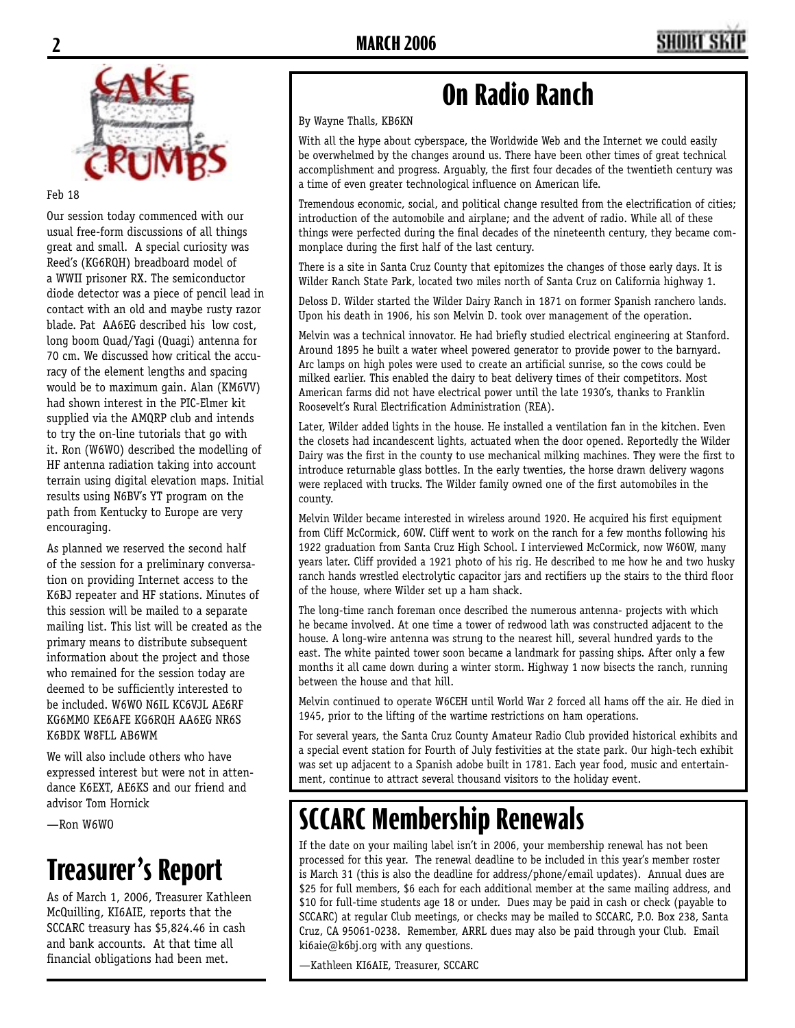

Feb 18

Our session today commenced with our usual free-form discussions of all things great and small. A special curiosity was Reed's (KG6RQH) breadboard model of a WWII prisoner RX. The semiconductor diode detector was a piece of pencil lead in contact with an old and maybe rusty razor blade. Pat AA6EG described his low cost, long boom Quad/Yagi (Quagi) antenna for 70 cm. We discussed how critical the accuracy of the element lengths and spacing would be to maximum gain. Alan (KM6VV) had shown interest in the PIC-Elmer kit supplied via the AMQRP club and intends to try the on-line tutorials that go with it. Ron (W6WO) described the modelling of HF antenna radiation taking into account terrain using digital elevation maps. Initial results using N6BV's YT program on the path from Kentucky to Europe are very encouraging.

As planned we reserved the second half of the session for a preliminary conversation on providing Internet access to the K6BJ repeater and HF stations. Minutes of this session will be mailed to a separate mailing list. This list will be created as the primary means to distribute subsequent information about the project and those who remained for the session today are deemed to be sufficiently interested to be included. W6WO N6IL KC6VJL AE6RF KG6MMO KE6AFE KG6RQH AA6EG NR6S K6BDK W8FLL AB6WM

We will also include others who have expressed interest but were not in attendance K6EXT, AE6KS and our friend and advisor Tom Hornick

—Ron W6WO

# **Treasurer's Report**

As of March 1, 2006, Treasurer Kathleen McQuilling, KI6AIE, reports that the SCCARC treasury has \$5,824.46 in cash and bank accounts. At that time all financial obligations had been met.

## **On Radio Ranch**

By Wayne Thalls, KB6KN

With all the hype about cyberspace, the Worldwide Web and the Internet we could easily be overwhelmed by the changes around us. There have been other times of great technical accomplishment and progress. Arguably, the first four decades of the twentieth century was a time of even greater technological influence on American life.

Tremendous economic, social, and political change resulted from the electrification of cities; introduction of the automobile and airplane; and the advent of radio. While all of these things were perfected during the final decades of the nineteenth century, they became commonplace during the first half of the last century.

There is a site in Santa Cruz County that epitomizes the changes of those early days. It is Wilder Ranch State Park, located two miles north of Santa Cruz on California highway 1.

Deloss D. Wilder started the Wilder Dairy Ranch in 1871 on former Spanish ranchero lands. Upon his death in 1906, his son Melvin D. took over management of the operation.

Melvin was a technical innovator. He had briefly studied electrical engineering at Stanford. Around 1895 he built a water wheel powered generator to provide power to the barnyard. Arc lamps on high poles were used to create an artificial sunrise, so the cows could be milked earlier. This enabled the dairy to beat delivery times of their competitors. Most American farms did not have electrical power until the late 1930's, thanks to Franklin Roosevelt's Rural Electrification Administration (REA).

Later, Wilder added lights in the house. He installed a ventilation fan in the kitchen. Even the closets had incandescent lights, actuated when the door opened. Reportedly the Wilder Dairy was the first in the county to use mechanical milking machines. They were the first to introduce returnable glass bottles. In the early twenties, the horse drawn delivery wagons were replaced with trucks. The Wilder family owned one of the first automobiles in the county.

Melvin Wilder became interested in wireless around 1920. He acquired his first equipment from Cliff McCormick, 6OW. Cliff went to work on the ranch for a few months following his 1922 graduation from Santa Cruz High School. I interviewed McCormick, now W6OW, many years later. Cliff provided a 1921 photo of his rig. He described to me how he and two husky ranch hands wrestled electrolytic capacitor jars and rectifiers up the stairs to the third floor of the house, where Wilder set up a ham shack.

The long-time ranch foreman once described the numerous antenna- projects with which he became involved. At one time a tower of redwood lath was constructed adjacent to the house. A long-wire antenna was strung to the nearest hill, several hundred yards to the east. The white painted tower soon became a landmark for passing ships. After only a few months it all came down during a winter storm. Highway 1 now bisects the ranch, running between the house and that hill.

Melvin continued to operate W6CEH until World War 2 forced all hams off the air. He died in 1945, prior to the lifting of the wartime restrictions on ham operations.

For several years, the Santa Cruz County Amateur Radio Club provided historical exhibits and a special event station for Fourth of July festivities at the state park. Our high-tech exhibit was set up adjacent to a Spanish adobe built in 1781. Each year food, music and entertainment, continue to attract several thousand visitors to the holiday event.

# **SCCARC Membership Renewals**

If the date on your mailing label isn't in 2006, your membership renewal has not been processed for this year. The renewal deadline to be included in this year's member roster is March 31 (this is also the deadline for address/phone/email updates). Annual dues are \$25 for full members, \$6 each for each additional member at the same mailing address, and \$10 for full-time students age 18 or under. Dues may be paid in cash or check (payable to SCCARC) at regular Club meetings, or checks may be mailed to SCCARC, P.O. Box 238, Santa Cruz, CA 95061-0238. Remember, ARRL dues may also be paid through your Club. Email ki6aie@k6bj.org with any questions.

—Kathleen KI6AIE, Treasurer, SCCARC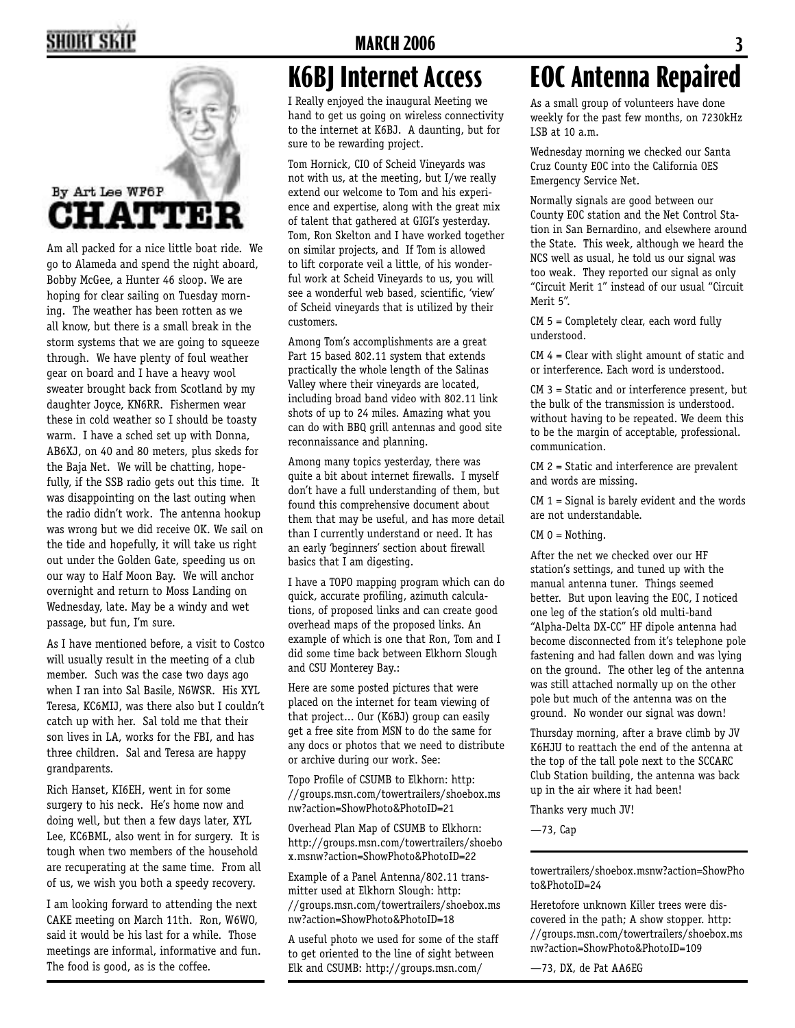### **2 MARCH 2006 3**



Am all packed for a nice little boat ride. We go to Alameda and spend the night aboard, Bobby McGee, a Hunter 46 sloop. We are hoping for clear sailing on Tuesday morning. The weather has been rotten as we all know, but there is a small break in the storm systems that we are going to squeeze through. We have plenty of foul weather gear on board and I have a heavy wool sweater brought back from Scotland by my daughter Joyce, KN6RR. Fishermen wear these in cold weather so I should be toasty warm. I have a sched set up with Donna, AB6XJ, on 40 and 80 meters, plus skeds for the Baja Net. We will be chatting, hopefully, if the SSB radio gets out this time. It was disappointing on the last outing when the radio didn't work. The antenna hookup was wrong but we did receive OK. We sail on the tide and hopefully, it will take us right out under the Golden Gate, speeding us on our way to Half Moon Bay. We will anchor overnight and return to Moss Landing on Wednesday, late. May be a windy and wet passage, but fun, I'm sure.

As I have mentioned before, a visit to Costco will usually result in the meeting of a club member. Such was the case two days ago when I ran into Sal Basile, N6WSR. His XYL. Teresa, KC6MIJ, was there also but I couldn't catch up with her. Sal told me that their son lives in LA, works for the FBI, and has three children. Sal and Teresa are happy grandparents.

Rich Hanset, KI6EH, went in for some surgery to his neck. He's home now and doing well, but then a few days later, XYL Lee, KC6BML, also went in for surgery. It is tough when two members of the household are recuperating at the same time. From all of us, we wish you both a speedy recovery.

I am looking forward to attending the next CAKE meeting on March 11th. Ron, W6WO, said it would be his last for a while. Those meetings are informal, informative and fun. The food is good, as is the coffee.

### **K6BJ Internet Access**

I Really enjoyed the inaugural Meeting we hand to get us going on wireless connectivity to the internet at K6BJ. A daunting, but for sure to be rewarding project.

Tom Hornick, CIO of Scheid Vineyards was not with us, at the meeting, but I/we really extend our welcome to Tom and his experience and expertise, along with the great mix of talent that gathered at GIGI's yesterday. Tom, Ron Skelton and I have worked together on similar projects, and If Tom is allowed to lift corporate veil a little, of his wonderful work at Scheid Vineyards to us, you will see a wonderful web based, scientific, 'view' of Scheid vineyards that is utilized by their customers.

Among Tom's accomplishments are a great Part 15 based 802.11 system that extends practically the whole length of the Salinas Valley where their vineyards are located, including broad band video with 802.11 link shots of up to 24 miles. Amazing what you can do with BBQ grill antennas and good site reconnaissance and planning.

Among many topics yesterday, there was quite a bit about internet firewalls. I myself don't have a full understanding of them, but found this comprehensive document about them that may be useful, and has more detail than I currently understand or need. It has an early 'beginners' section about firewall basics that I am digesting.

I have a TOPO mapping program which can do quick, accurate profiling, azimuth calculations, of proposed links and can create good overhead maps of the proposed links. An example of which is one that Ron, Tom and I did some time back between Elkhorn Slough and CSU Monterey Bay.:

Here are some posted pictures that were placed on the internet for team viewing of that project... Our (K6BJ) group can easily get a free site from MSN to do the same for any docs or photos that we need to distribute or archive during our work. See:

Topo Profile of CSUMB to Elkhorn: http: //groups.msn.com/towertrailers/shoebox.ms nw?action=ShowPhoto&PhotoID=21

Overhead Plan Map of CSUMB to Elkhorn: http://groups.msn.com/towertrailers/shoebo x.msnw?action=ShowPhoto&PhotoID=22

Example of a Panel Antenna/802.11 transmitter used at Elkhorn Slough: http: //groups.msn.com/towertrailers/shoebox.ms nw?action=ShowPhoto&PhotoID=18

A useful photo we used for some of the staff to get oriented to the line of sight between Elk and CSUMB: http://groups.msn.com/

# **EOC Antenna Repaired**

As a small group of volunteers have done weekly for the past few months, on 7230kHz LSB at 10 a.m.

Wednesday morning we checked our Santa Cruz County EOC into the California OES Emergency Service Net.

Normally signals are good between our County EOC station and the Net Control Station in San Bernardino, and elsewhere around the State. This week, although we heard the NCS well as usual, he told us our signal was too weak. They reported our signal as only "Circuit Merit 1" instead of our usual "Circuit Merit 5".

CM 5 = Completely clear, each word fully understood.

CM 4 = Clear with slight amount of static and or interference. Each word is understood.

CM 3 = Static and or interference present, but the bulk of the transmission is understood. without having to be repeated. We deem this to be the margin of acceptable, professional. communication.

CM 2 = Static and interference are prevalent and words are missing.

 $CM 1 =$  Signal is barely evident and the words are not understandable.

CM 0 = Nothing.

After the net we checked over our HF station's settings, and tuned up with the manual antenna tuner. Things seemed better. But upon leaving the EOC, I noticed one leg of the station's old multi-band "Alpha-Delta DX-CC" HF dipole antenna had become disconnected from it's telephone pole fastening and had fallen down and was lying on the ground. The other leg of the antenna was still attached normally up on the other pole but much of the antenna was on the ground. No wonder our signal was down!

Thursday morning, after a brave climb by JV K6HJU to reattach the end of the antenna at the top of the tall pole next to the SCCARC Club Station building, the antenna was back up in the air where it had been!

Thanks very much JV!

—73, Cap

towertrailers/shoebox.msnw?action=ShowPho to&PhotoID=24

Heretofore unknown Killer trees were discovered in the path; A show stopper. http: //groups.msn.com/towertrailers/shoebox.ms nw?action=ShowPhoto&PhotoID=109

—73, DX, de Pat AA6EG